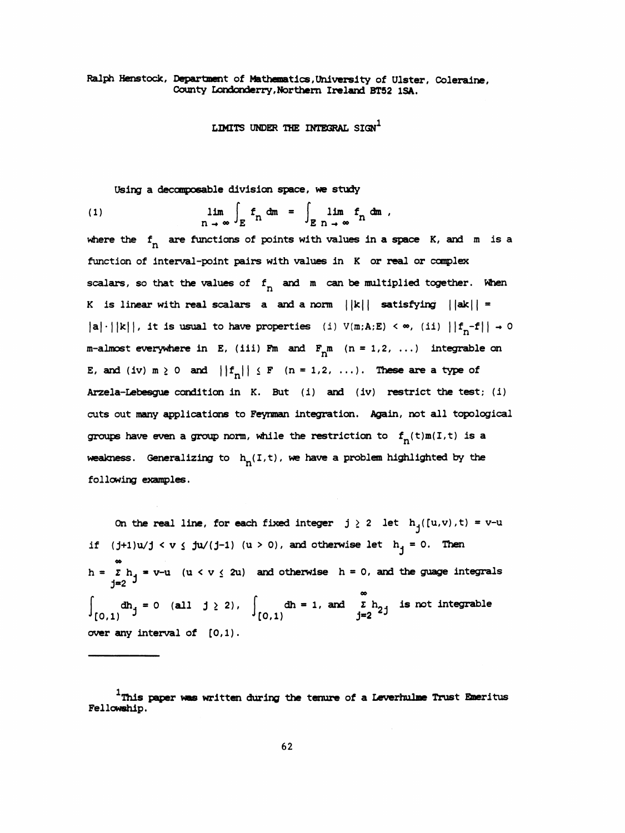## Ralph Henstock, Department of Mathematics , University of Ulster, Coleraine, County Londonderry, Northern Ireland BT52 ISA.

LIMITS UNDER THE INTEGRAL  $sign<sup>1</sup>$ 

Using a decomposable division space, we study

(1) 
$$
\lim_{n \to \infty} \int_{E} f_n dm = \int_{E} \lim_{n \to \infty} f_n dm,
$$

where the  $f_n$  are functions of points with values in a space K, and m is a function of Interval -point pairs with values in K or real or complex scalars, so that the values of  $f_n$  and m can be multiplied together. When K is linear with real scalars a and a norm  $||k||$  satisfying  $||ak|| =$ |a|·||k||, it is usual to have properties (i)  $V(m:A:E) < \infty$ , (ii)  $||f_n-f|| \rightarrow 0$ m-almost everywhere in E, (iii) Fm and  $F_m$  (n = 1,2, ...) integrable on E, and (iv)  $m \ge 0$  and  $||f_n|| \le F$  (n = 1,2, ...). These are a type of Arzela-Lebesgue condition in K. But (i) and (iv) restrict the test; (i) cuts out many applications to Feynman integration. Again, not all topological groups have even a group norm, while the restriction to  $f_n(t)m(I,t)$  is a weakness. Generalizing to  $h_n(I,t)$ , we have a problem highlighted by the following examples.

On the real line, for each fixed integer  $j \ge 2$  let  $h_j([u,v),t) = v-u$ if  $(j+1)u/j < v \leq ju/(j-1)$  (u > 0), and otherwise let  $h_j = 0$ . Then h =  $\sum_{i=1}^{\infty}$  h, = v-u (u < v  $\leq$  2u) and otherwise h = 0, and the guage integrals j=2 <sup>J</sup>  $\int_{[0,1)} dh_j = 0$  (all  $j \ge 2$ ),  $\int_{[0,1)} dh = 1$ , and  $\sum_{j=2}^{\infty} h_{2j}$  is not integrable over any interval of [0,1).

 $1$ This paper was written during the tenure of a Leverhulme Trust Emeritus Fellowship.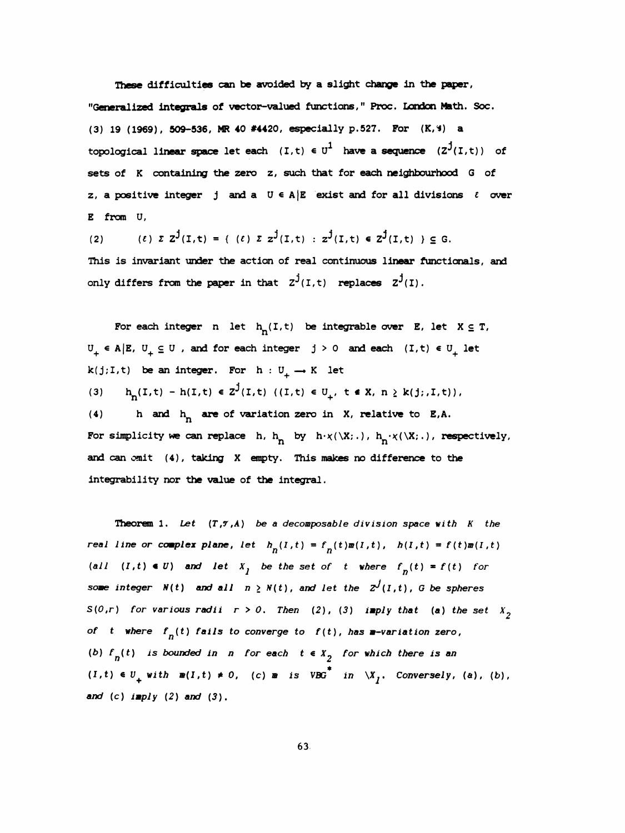These difficulties can be avoided by a slight change in the paper,

 "Generalized integrals of vector-valued functions," Proc. London Math. Soc. (3) 19 (1969), 509-536, MR 40 #4420, especially p.527. For (K, %) a topological linear space let each  $(I, t) \in U^1$  have a sequence  $(Z^j(I, t))$  of sets of K containing the zero z, such that for each neighbourhood G of z, a positive integer j and a  $U \in A/E$  exist and for all divisions  $\ell$  over E from U,

(2) (e)  $\sum Z^{\mathbf{j}}(I,t) = {(\ell) \sum Z^{\mathbf{j}}(I,t) : Z^{\mathbf{j}}(I,t) \in Z^{\mathbf{j}}(I,t) \sum Z^{\mathbf{j}}(I,t)}$  This is invariant under the action of real continuous linear functionals, and only differs from the paper in that  $z^{j}(I,t)$  replaces  $z^{j}(I)$ .

For each integer n let  $h_n(I,t)$  be integrable over E, let  $X \subseteq T$ ,  $U_+ \in A | E, U_+ \subseteq U$ , and for each integer  $j > 0$  and each  $(I, t) \in U_+$  let  $k(j;I,t)$  be an integer. For  $h: U_+ \longrightarrow K$  let (3)  $h_n(I,t) - h(I,t) \in Z^{\mathcal{J}}(I,t)$  ((I,t)  $\in U_+$ ,  $t \in X$ ,  $n \geq k(j;I,t)$ ), (4) h and  $h_n$  are of variation zero in X, relative to E,A.

For simplicity we can replace h,  $h_R$  by  $h \cdot \chi(\backslash X;\,.\,)$ ,  $h_R \cdot \chi(\backslash X;\,.\,)$ , respectively, and can omit (4), taking X empty. This makes no difference to the integrability nor the value of the integral.

Theorem 1. Let  $(T, \mathcal{T}, A)$  be a decomposable division space with  $K$  the real line or complex plane, let  $h_n(I,t) = f_n(t) m(I,t)$ ,  $h(I,t) = f(t) m(I,t)$ (all  $(I, t) \in U$ ) and let  $X_j$  be the set of t where  $f_n(t) = f(t)$  for some integer  $N(t)$  and all  $n \ge N(t)$ , and let the  $Z^{J}(I, t)$ , G be spheres  $S(0,r)$  for various radii  $r > 0$ . Then (2), (3) imply that (a) the set  $X<sub>2</sub>$ of t where  $f_n(t)$  fails to converge to  $f(t)$ , has m-variation zero, (b)  $f_n(t)$  is bounded in n for each  $t \in X^2$  for which there is an  $(I, t) \in U_+$  with  $m(I, t) \neq 0$ , (c)  $m$  is VBG<sup>\*</sup> in  $\chi_I$ , Conversely, (a), (b), and  $(c)$  imply  $(2)$  and  $(3)$ .